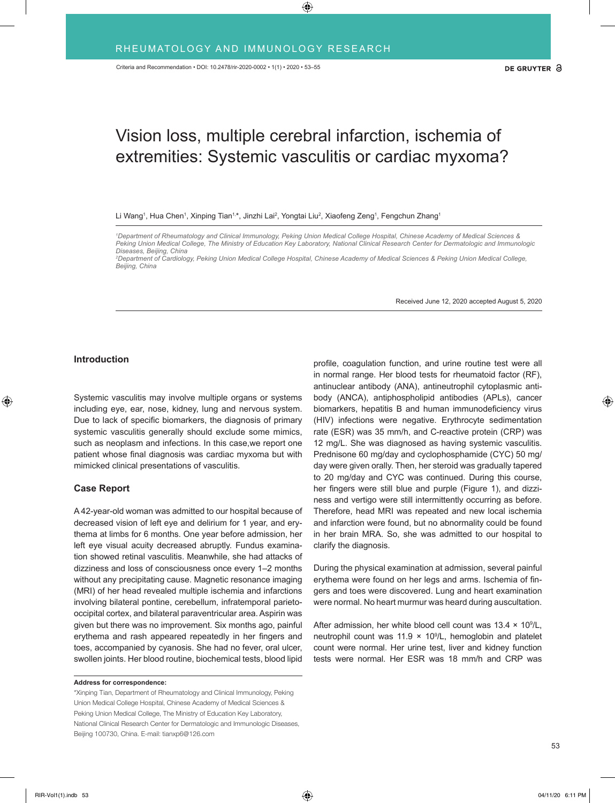# Vision loss, multiple cerebral infarction, ischemia of extremities: Systemic vasculitis or cardiac myxoma?

Li Wang<sup>1</sup>, Hua Chen<sup>1</sup>, Xinping Tian<sup>1,</sup>\*, Jinzhi Lai<sup>2</sup>, Yongtai Liu<sup>2</sup>, Xiaofeng Zeng<sup>1</sup>, Fengchun Zhang<sup>1</sup>

*2 Department of Cardiology, Peking Union Medical College Hospital, Chinese Academy of Medical Sciences & Peking Union Medical College, Beijing, China* 

Received June 12, 2020 accepted August 5, 2020

### **Introduction**

Systemic vasculitis may involve multiple organs or systems including eye, ear, nose, kidney, lung and nervous system. Due to lack of specific biomarkers, the diagnosis of primary systemic vasculitis generally should exclude some mimics, such as neoplasm and infections. In this case,we report one patient whose final diagnosis was cardiac myxoma but with mimicked clinical presentations of vasculitis.

# **Case Report**

A 42-year-old woman was admitted to our hospital because of decreased vision of left eye and delirium for 1 year, and erythema at limbs for 6 months. One year before admission, her left eye visual acuity decreased abruptly. Fundus examination showed retinal vasculitis. Meanwhile, she had attacks of dizziness and loss of consciousness once every 1–2 months without any precipitating cause. Magnetic resonance imaging (MRI) of her head revealed multiple ischemia and infarctions involving bilateral pontine, cerebellum, infratemporal parietooccipital cortex, and bilateral paraventricular area. Aspirin was given but there was no improvement. Six months ago, painful erythema and rash appeared repeatedly in her fingers and toes, accompanied by cyanosis. She had no fever, oral ulcer, swollen joints. Her blood routine, biochemical tests, blood lipid

#### **Address for correspondence:**

\*Xinping Tian, Department of Rheumatology and Clinical Immunology, Peking Union Medical College Hospital, Chinese Academy of Medical Sciences & Peking Union Medical College, The Ministry of Education Key Laboratory, National Clinical Research Center for Dermatologic and Immunologic Diseases, Beijing 100730, China. E-mail: tianxp6@126.com

profile, coagulation function, and urine routine test were all in normal range. Her blood tests for rheumatoid factor (RF), antinuclear antibody (ANA), antineutrophil cytoplasmic antibody (ANCA), antiphospholipid antibodies (APLs), cancer biomarkers, hepatitis B and human immunodeficiency virus (HIV) infections were negative. Erythrocyte sedimentation rate (ESR) was 35 mm/h, and C-reactive protein (CRP) was 12 mg/L. She was diagnosed as having systemic vasculitis. Prednisone 60 mg/day and cyclophosphamide (CYC) 50 mg/ day were given orally. Then, her steroid was gradually tapered to 20 mg/day and CYC was continued. During this course, her fingers were still blue and purple (Figure 1), and dizziness and vertigo were still intermittently occurring as before. Therefore, head MRI was repeated and new local ischemia and infarction were found, but no abnormality could be found in her brain MRA. So, she was admitted to our hospital to clarify the diagnosis.

During the physical examination at admission, several painful erythema were found on her legs and arms. Ischemia of fingers and toes were discovered. Lung and heart examination were normal. No heart murmur was heard during auscultation.

After admission, her white blood cell count was  $13.4 \times 10^9$ /L, neutrophil count was  $11.9 \times 10^9$ /L, hemoglobin and platelet count were normal. Her urine test, liver and kidney function tests were normal. Her ESR was 18 mm/h and CRP was

*<sup>1</sup> Department of Rheumatology and Clinical Immunology, Peking Union Medical College Hospital, Chinese Academy of Medical Sciences &*  Peking Union Medical College, The Ministry of Education Key Laboratory, National Clinical Research Center for Dermatologic and Immunologic *Diseases, Beijing, China*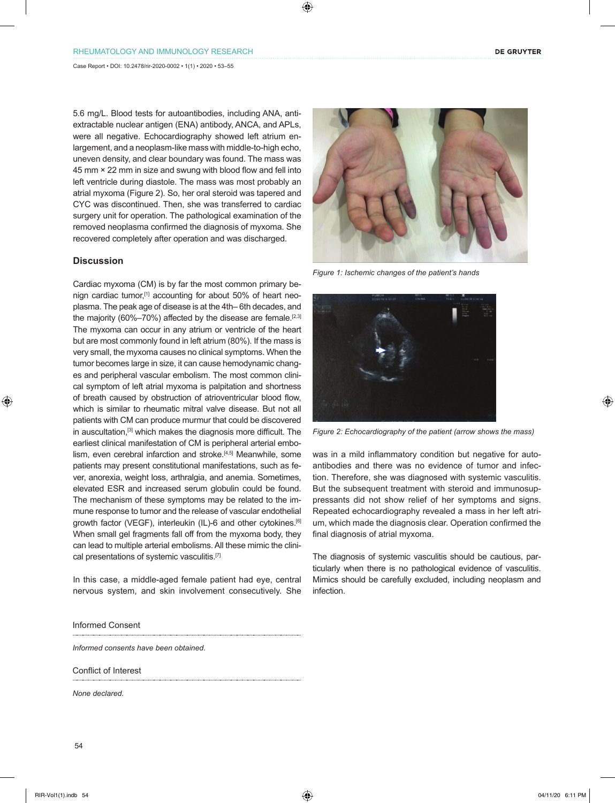5.6 mg/L. Blood tests for autoantibodies, including ANA, antiextractable nuclear antigen (ENA) antibody, ANCA, and APLs, were all negative. Echocardiography showed left atrium enlargement, and a neoplasm-like mass with middle-to-high echo, uneven density, and clear boundary was found. The mass was 45 mm × 22 mm in size and swung with blood flow and fell into left ventricle during diastole. The mass was most probably an atrial myxoma (Figure 2). So, her oral steroid was tapered and CYC was discontinued. Then, she was transferred to cardiac surgery unit for operation. The pathological examination of the removed neoplasma confirmed the diagnosis of myxoma. She recovered completely after operation and was discharged.

## **Discussion**

Cardiac myxoma (CM) is by far the most common primary benign cardiac tumor,<sup>[1]</sup> accounting for about 50% of heart neoplasma. The peak age of disease is at the 4th– 6th decades, and the majority (60%-70%) affected by the disease are female.<sup>[2,3]</sup> The myxoma can occur in any atrium or ventricle of the heart but are most commonly found in left atrium (80%). If the mass is very small, the myxoma causes no clinical symptoms. When the tumor becomes large in size, it can cause hemodynamic changes and peripheral vascular embolism. The most common clinical symptom of left atrial myxoma is palpitation and shortness of breath caused by obstruction of atrioventricular blood flow, which is similar to rheumatic mitral valve disease. But not all patients with CM can produce murmur that could be discovered in auscultation,[3] which makes the diagnosis more difficult. The earliest clinical manifestation of CM is peripheral arterial embolism, even cerebral infarction and stroke.[4,5] Meanwhile, some patients may present constitutional manifestations, such as fever, anorexia, weight loss, arthralgia, and anemia. Sometimes, elevated ESR and increased serum globulin could be found. The mechanism of these symptoms may be related to the immune response to tumor and the release of vascular endothelial growth factor (VEGF), interleukin (IL)-6 and other cytokines.<sup>[6]</sup> When small gel fragments fall off from the myxoma body, they can lead to multiple arterial embolisms. All these mimic the clinical presentations of systemic vasculitis.<sup>[7]</sup>

In this case, a middle-aged female patient had eye, central nervous system, and skin involvement consecutively. She

Informed Consent

*Informed consents have been obtained.* 

Conflict of Interest

*None declared.*

*Figure 1: Ischemic changes of the patient's hands*



*Figure 2: Echocardiography of the patient (arrow shows the mass)*

was in a mild inflammatory condition but negative for autoantibodies and there was no evidence of tumor and infection. Therefore, she was diagnosed with systemic vasculitis. But the subsequent treatment with steroid and immunosuppressants did not show relief of her symptoms and signs. Repeated echocardiography revealed a mass in her left atrium, which made the diagnosis clear. Operation confirmed the final diagnosis of atrial myxoma.

The diagnosis of systemic vasculitis should be cautious, particularly when there is no pathological evidence of vasculitis. Mimics should be carefully excluded, including neoplasm and infection.